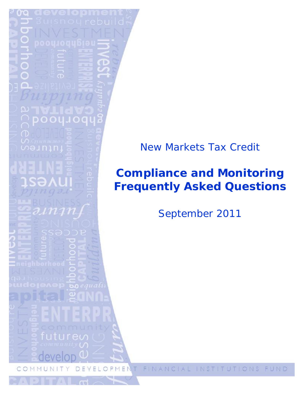

## **Compliance and Monitoring Frequently Asked Questions**

September 2011

т

FINANCIAL INSTITUTIONS EUND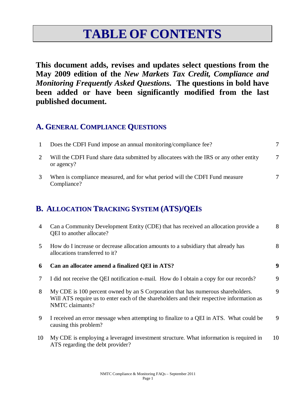# **TABLE OF CONTENTS**

**This document adds, revises and updates select questions from the May 2009 edition of the** *New Markets Tax Credit, Compliance and Monitoring Frequently Asked Questions.* **The questions in bold have been added or have been significantly modified from the last published document.** 

## **A. GENERAL COMPLIANCE QUESTIONS**

| Does the CDFI Fund impose an annual monitoring/compliance fee?                                       |   |
|------------------------------------------------------------------------------------------------------|---|
| Will the CDFI Fund share data submitted by allocatees with the IRS or any other entity<br>or agency? | 7 |
| When is compliance measured, and for what period will the CDFI Fund measure<br>Compliance?           |   |

## **B. ALLOCATION TRACKING SYSTEM (ATS)/QEIS**

| 4  | Can a Community Development Entity (CDE) that has received an allocation provide a<br>QEI to another allocate?                                                                                  | 8  |
|----|-------------------------------------------------------------------------------------------------------------------------------------------------------------------------------------------------|----|
| 5  | How do I increase or decrease allocation amounts to a subsidiary that already has<br>allocations transferred to it?                                                                             | 8  |
| 6  | Can an allocatee amend a finalized QEI in ATS?                                                                                                                                                  | 9  |
| 7  | I did not receive the QEI notification e-mail. How do I obtain a copy for our records?                                                                                                          | 9  |
| 8  | My CDE is 100 percent owned by an S Corporation that has numerous shareholders.<br>Will ATS require us to enter each of the shareholders and their respective information as<br>NMTC claimants? | 9  |
| 9  | I received an error message when attempting to finalize to a QEI in ATS. What could be<br>causing this problem?                                                                                 | 9  |
| 10 | My CDE is employing a leveraged investment structure. What information is required in<br>ATS regarding the debt provider?                                                                       | 10 |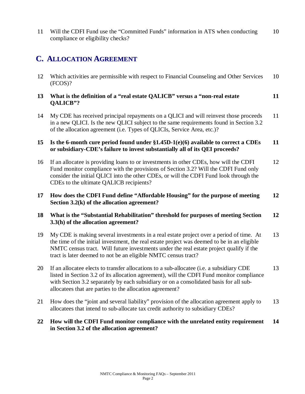11 Will the CDFI Fund use the "Committed Funds" information in ATS when conducting compliance or eligibility checks? 10

### **C. ALLOCATION AGREEMENT**

- 12 Which activities are permissible with respect to Financial Counseling and Other Services (FCOS)? 10
- **13 What is the definition of a "real estate QALICB" versus a "non-real estate QALICB"? 11**
- 14 My CDE has received principal repayments on a QLICI and will reinvest those proceeds in a new QLICI. Is the new QLICI subject to the same requirements found in Section 3.2 of the allocation agreement (i.e. Types of QLICIs, Service Area, etc.)? 11

#### **15 Is the 6-month cure period found under §1.45D-1(e)(6) available to correct a CDEs or subsidiary-CDE's failure to invest substantially all of its QEI proceeds? 11**

- 16 If an allocatee is providing loans to or investments in other CDEs, how will the CDFI Fund monitor compliance with the provisions of Section 3.2? Will the CDFI Fund only consider the initial QLICI into the other CDEs, or will the CDFI Fund look through the CDEs to the ultimate QALICB recipients? 12
- **17 How does the CDFI Fund define "Affordable Housing" for the purpose of meeting Section 3.2(k) of the allocation agreement? 12**

#### **18 What is the "Substantial Rehabilitation" threshold for purposes of meeting Section 3.3(h) of the allocation agreement? 12**

- 19 My CDE is making several investments in a real estate project over a period of time. At the time of the initial investment, the real estate project was deemed to be in an eligible NMTC census tract. Will future investments under the real estate project qualify if the tract is later deemed to not be an eligible NMTC census tract? 13
- 20 If an allocatee elects to transfer allocations to a sub-allocatee (i.e. a subsidiary CDE listed in Section 3.2 of its allocation agreement), will the CDFI Fund monitor compliance with Section 3.2 separately by each subsidiary or on a consolidated basis for all suballocatees that are parties to the allocation agreement? 13
- 21 How does the "joint and several liability" provision of the allocation agreement apply to allocatees that intend to sub-allocate tax credit authority to subsidiary CDEs? 13
- **22 How will the CDFI Fund monitor compliance with the unrelated entity requirement in Section 3.2 of the allocation agreement? 14**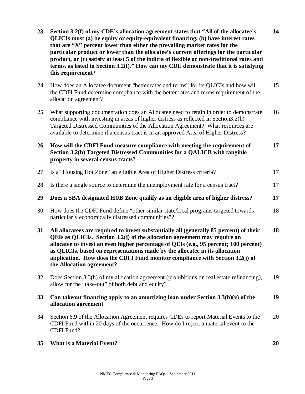| 23 | Section 3.2(f) of my CDE's allocation agreement states that "All of the allocatee's<br>QLICIs must (a) be equity or equity-equivalent financing, (b) have interest rates<br>that are "X" percent lower than either the prevailing market rates for the<br>particular product or lower than the allocatee's current offerings for the particular<br>product, or (c) satisfy at least 5 of the indicia of flexible or non-traditional rates and<br>terms, as listed in Section 3.2(f)." How can my CDE demonstrate that it is satisfying<br>this requirement? | 14 |
|----|-------------------------------------------------------------------------------------------------------------------------------------------------------------------------------------------------------------------------------------------------------------------------------------------------------------------------------------------------------------------------------------------------------------------------------------------------------------------------------------------------------------------------------------------------------------|----|
| 24 | How does an Allocatee document "better rates and terms" for its QLICIs and how will<br>the CDFI Fund determine compliance with the better rates and terms requirement of the<br>allocation agreement?                                                                                                                                                                                                                                                                                                                                                       | 15 |
| 25 | What supporting documentation does an Allocatee need to retain in order to demonstrate<br>compliance with investing in areas of higher distress as reflected in Section3.2(h)<br>Targeted Distressed Communities of the Allocation Agreement? What resources are<br>available to determine if a census tract is in an approved Area of Higher Distress?                                                                                                                                                                                                     | 16 |
| 26 | How will the CDFI Fund measure compliance with meeting the requirement of<br>Section 3.2(h) Targeted Distressed Communities for a QALICB with tangible<br>property in several census tracts?                                                                                                                                                                                                                                                                                                                                                                | 17 |
| 27 | Is a "Housing Hot Zone" an eligible Area of Higher Distress criteria?                                                                                                                                                                                                                                                                                                                                                                                                                                                                                       | 17 |
| 28 | Is there a single source to determine the unemployment rate for a census tract?                                                                                                                                                                                                                                                                                                                                                                                                                                                                             | 17 |
| 29 | Does a SBA designated HUB Zone qualify as an eligible area of higher distress?                                                                                                                                                                                                                                                                                                                                                                                                                                                                              | 17 |
| 30 | How does the CDFI Fund define "other similar state/local programs targeted towards<br>particularly economically distressed communities"?                                                                                                                                                                                                                                                                                                                                                                                                                    | 18 |
| 31 | All allocatees are required to invest substantially all (generally 85 percent) of their<br>QEIs as QLICIs. Section 3.2(j) of the allocation agreement may require an<br>allocatee to invest an even higher percentage of QEIs (e.g., 95 percent; 100 percent)<br>as QLICIs, based on representations made by the allocatee in its allocation<br>application. How does the CDFI Fund monitor compliance with Section 3.2(j) of<br>the Allocation agreement?                                                                                                  | 18 |
| 32 | Does Section 3.3(h) of my allocation agreement (prohibitions on real estate refinancing),<br>allow for the "take-out" of both debt and equity?                                                                                                                                                                                                                                                                                                                                                                                                              | 19 |
| 33 | Can takeout financing apply to an amortizing loan under Section $3.3(h)(v)$ of the<br>allocation agreement                                                                                                                                                                                                                                                                                                                                                                                                                                                  | 19 |
| 34 | Section 6.9 of the Allocation Agreement requires CDEs to report Material Events to the<br>CDFI Fund within 20 days of the occurrence. How do I report a material event to the<br>CDFI Fund?                                                                                                                                                                                                                                                                                                                                                                 | 20 |
| 35 | <b>What is a Material Event?</b>                                                                                                                                                                                                                                                                                                                                                                                                                                                                                                                            | 20 |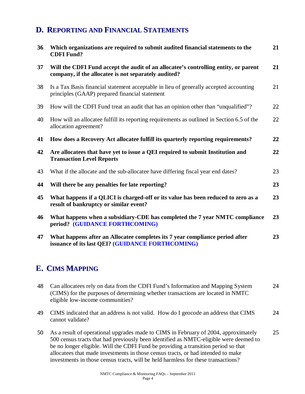### **D. REPORTING AND FINANCIAL STATEMENTS**

| 36 | Which organizations are required to submit audited financial statements to the<br><b>CDFI Fund?</b>                                         | 21 |
|----|---------------------------------------------------------------------------------------------------------------------------------------------|----|
| 37 | Will the CDFI Fund accept the audit of an allocatee's controlling entity, or parent<br>company, if the allocatee is not separately audited? | 21 |
| 38 | Is a Tax Basis financial statement acceptable in lieu of generally accepted accounting<br>principles (GAAP) prepared financial statement    | 21 |
| 39 | How will the CDFI Fund treat an audit that has an opinion other than "unqualified"?                                                         | 22 |
| 40 | How will an allocatee fulfill its reporting requirements as outlined in Section 6.5 of the<br>allocation agreement?                         | 22 |
| 41 | How does a Recovery Act allocatee fulfill its quarterly reporting requirements?                                                             | 22 |
| 42 | Are allocatees that have yet to issue a QEI required to submit Institution and<br><b>Transaction Level Reports</b>                          | 22 |
| 43 | What if the allocate and the sub-allocatee have differing fiscal year end dates?                                                            | 23 |
| 44 | Will there be any penalties for late reporting?                                                                                             | 23 |
| 45 | What happens if a QLICI is charged-off or its value has been reduced to zero as a<br>result of bankruptcy or similar event?                 | 23 |
| 46 | What happens when a subsidiary-CDE has completed the 7 year NMTC compliance<br>period? (GUIDANCE FORTHCOMING)                               | 23 |
| 47 | What happens after an Allocatee completes its 7 year compliance period after<br>issuance of its last QEI? (GUIDANCE FORTHCOMING)            | 23 |

## **E. CIMS MAPPING**

| 48 Can allocatees rely on data from the CDFI Fund's Information and Mapping System | 24 |
|------------------------------------------------------------------------------------|----|
| (CIMS) for the purposes of determining whether transactions are located in NMTC    |    |
| eligible low-income communities?                                                   |    |

- 49 CIMS indicated that an address is not valid. How do I geocode an address that CIMS cannot validate? 24
- 50 As a result of operational upgrades made to CIMS in February of 2004, approximately 500 census tracts that had previously been identified as NMTC-eligible were deemed to be no longer eligible. Will the CDFI Fund be providing a transition period so that allocatees that made investments in those census tracts, or had intended to make investments in those census tracts, will be held harmless for these transactions? 25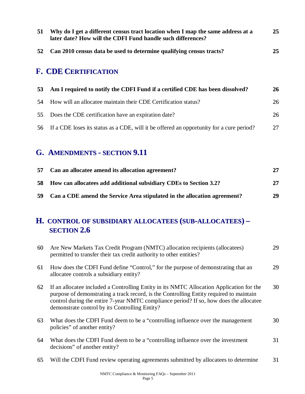| 51 | Why do I get a different census tract location when I map the same address at a<br>later date? How will the CDFI Fund handle such differences? | 25 |
|----|------------------------------------------------------------------------------------------------------------------------------------------------|----|
| 52 | Can 2010 census data be used to determine qualifying census tracts?                                                                            | 25 |
|    | <b>F. CDE CERTIFICATION</b>                                                                                                                    |    |
| 53 | Am I required to notify the CDFI Fund if a certified CDE has been dissolved?                                                                   | 26 |
| 54 | How will an allocatee maintain their CDE Certification status?                                                                                 | 26 |
|    |                                                                                                                                                |    |

56 If a CDE loses its status as a CDE, will it be offered an opportunity for a cure period? 27

## **G. AMENDMENTS - SECTION 9.11**

|     | 57 Can an allocate amend its allocation agreement?                          | 27 |
|-----|-----------------------------------------------------------------------------|----|
| -58 | <b>How can allocatees add additional subsidiary CDEs to Section 3.2?</b>    | 27 |
|     | 59 Can a CDE amend the Service Area stipulated in the allocation agreement? | 29 |

### **H. CONTROL OF SUBSIDIARY ALLOCATEES (SUB-ALLOCATEES) – SECTION 2.6**

| 60 | Are New Markets Tax Credit Program (NMTC) allocation recipients (allocatees)<br>permitted to transfer their tax credit authority to other entities?                                                                                                                                                                            | 29 |
|----|--------------------------------------------------------------------------------------------------------------------------------------------------------------------------------------------------------------------------------------------------------------------------------------------------------------------------------|----|
| 61 | How does the CDFI Fund define "Control," for the purpose of demonstrating that an<br>allocate controls a subsidiary entity?                                                                                                                                                                                                    | 29 |
| 62 | If an allocate included a Controlling Entity in its NMTC Allocation Application for the<br>purpose of demonstrating a track record, is the Controlling Entity required to maintain<br>control during the entire 7-year NMTC compliance period? If so, how does the allocatee<br>demonstrate control by its Controlling Entity? | 30 |
| 63 | What does the CDFI Fund deem to be a "controlling influence over the management<br>policies" of another entity?                                                                                                                                                                                                                | 30 |
| 64 | What does the CDFI Fund deem to be a "controlling influence over the investment"<br>decisions" of another entity?                                                                                                                                                                                                              | 31 |
| 65 | Will the CDFI Fund review operating agreements submitted by allocatees to determine                                                                                                                                                                                                                                            | 31 |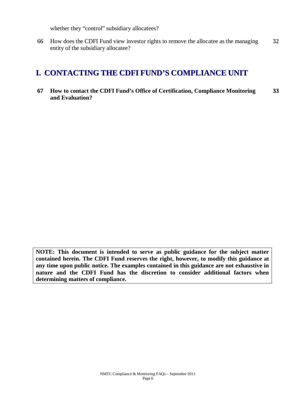whether they "control" subsidiary allocatees?

66 How does the CDFI Fund view investor rights to remove the allocatee as the managing entity of the subsidiary allocatee? 32

## **I. CONTACTING THE CDFI FUND'S COMPLIANCE UNIT**

**67 How to contact the CDFI Fund's Office of Certification, Compliance Monitoring and Evaluation? 33**

**NOTE: This document is intended to serve as public guidance for the subject matter contained herein. The CDFI Fund reserves the right, however, to modify this guidance at any time upon public notice. The examples contained in this guidance are not exhaustive in nature and the CDFI Fund has the discretion to consider additional factors when determining matters of compliance.**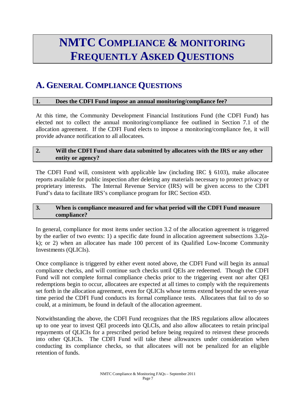# **NMTC COMPLIANCE & MONITORING FREQUENTLY ASKED QUESTIONS**

## **A. GENERAL COMPLIANCE QUESTIONS**

#### **1. Does the CDFI Fund impose an annual monitoring/compliance fee?**

At this time, the Community Development Financial Institutions Fund (the CDFI Fund) has elected not to collect the annual monitoring/compliance fee outlined in Section 7.1 of the allocation agreement. If the CDFI Fund elects to impose a monitoring/compliance fee, it will provide advance notification to all allocatees.

#### **2. Will the CDFI Fund share data submitted by allocatees with the IRS or any other entity or agency?**

The CDFI Fund will, consistent with applicable law (including IRC § 6103), make allocatee reports available for public inspection after deleting any materials necessary to protect privacy or proprietary interests. The Internal Revenue Service (IRS) will be given access to the CDFI Fund's data to facilitate IRS's compliance program for IRC Section 45D.

#### **3. When is compliance measured and for what period will the CDFI Fund measure compliance?**

In general, compliance for most items under section 3.2 of the allocation agreement is triggered by the earlier of two events: 1) a specific date found in allocation agreement subsections 3.2(ak); or 2) when an allocatee has made 100 percent of its Qualified Low-Income Community Investments (QLICIs).

Once compliance is triggered by either event noted above, the CDFI Fund will begin its annual compliance checks, and will continue such checks until QEIs are redeemed. Though the CDFI Fund will not complete formal compliance checks prior to the triggering event nor after QEI redemptions begin to occur, allocatees are expected at all times to comply with the requirements set forth in the allocation agreement, even for QLICIs whose terms extend beyond the seven-year time period the CDFI Fund conducts its formal compliance tests. Allocatees that fail to do so could, at a minimum, be found in default of the allocation agreement.

Notwithstanding the above, the CDFI Fund recognizes that the IRS regulations allow allocatees up to one year to invest QEI proceeds into QLCIs, and also allow allocatees to retain principal repayments of QLICIs for a prescribed period before being required to reinvest these proceeds into other QLICIs. The CDFI Fund will take these allowances under consideration when conducting its compliance checks, so that allocatees will not be penalized for an eligible retention of funds.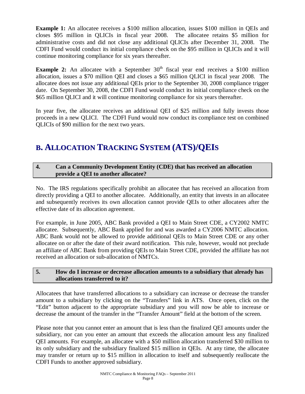**Example 1:** An allocatee receives a \$100 million allocation, issues \$100 million in QEIs and closes \$95 million in QLICIs in fiscal year 2008. The allocatee retains \$5 million for administrative costs and did not close any additional QLICIs after December 31, 2008. The CDFI Fund would conduct its initial compliance check on the \$95 million in QLICIs and it will continue monitoring compliance for six years thereafter.

**Example 2:** An allocatee with a September 30<sup>th</sup> fiscal year end receives a \$100 million allocation, issues a \$70 million QEI and closes a \$65 million QLICI in fiscal year 2008. The allocatee does not issue any additional QEIs prior to the September 30, 2008 compliance trigger date. On September 30, 2008, the CDFI Fund would conduct its initial compliance check on the \$65 million QLICI and it will continue monitoring compliance for six years thereafter.

In year five, the allocatee receives an additional QEI of \$25 million and fully invests those proceeds in a new QLICI. The CDFI Fund would now conduct its compliance test on combined QLICIs of \$90 million for the next two years.

## **B. ALLOCATION TRACKING SYSTEM (ATS)/QEIS**

#### **4. Can a Community Development Entity (CDE) that has received an allocation provide a QEI to another allocatee?**

No. The IRS regulations specifically prohibit an allocatee that has received an allocation from directly providing a QEI to another allocatee. Additionally, an entity that invests in an allocatee and subsequently receives its own allocation cannot provide QEIs to other allocatees after the effective date of its allocation agreement.

For example, in June 2005, ABC Bank provided a QEI to Main Street CDE, a CY2002 NMTC allocatee. Subsequently, ABC Bank applied for and was awarded a CY2006 NMTC allocation. ABC Bank would not be allowed to provide additional QEIs to Main Street CDE or any other allocatee on or after the date of their award notification. This rule, however, would not preclude an affiliate of ABC Bank from providing QEIs to Main Street CDE, provided the affiliate has not received an allocation or sub-allocation of NMTCs.

#### **5. How do I increase or decrease allocation amounts to a subsidiary that already has allocations transferred to it?**

Allocatees that have transferred allocations to a subsidiary can increase or decrease the transfer amount to a subsidiary by clicking on the "Transfers" link in ATS. Once open, click on the "Edit" button adjacent to the appropriate subsidiary and you will now be able to increase or decrease the amount of the transfer in the "Transfer Amount" field at the bottom of the screen.

Please note that you cannot enter an amount that is less than the finalized QEI amounts under the subsidiary, nor can you enter an amount that exceeds the allocation amount less any finalized QEI amounts. For example, an allocatee with a \$50 million allocation transferred \$30 million to its only subsidiary and the subsidiary finalized \$15 million in QEIs. At any time, the allocatee may transfer or return up to \$15 million in allocation to itself and subsequently reallocate the CDFI Funds to another approved subsidiary.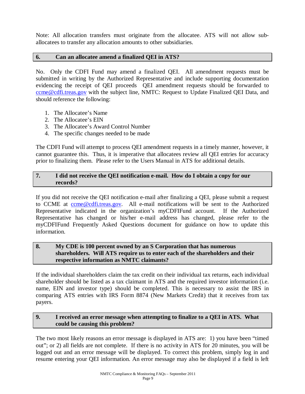Note: All allocation transfers must originate from the allocatee. ATS will not allow suballocatees to transfer any allocation amounts to other subsidiaries.

#### **6. Can an allocatee amend a finalized QEI in ATS?**

No. Only the CDFI Fund may amend a finalized QEI. All amendment requests must be submitted in writing by the Authorized Representative and include supporting documentation evidencing the receipt of QEI proceeds QEI amendment requests should be forwarded to [ccme@cdfi.treas.gov](mailto:ccme@cdfi.treas.gov) with the subject line, NMTC: Request to Update Finalized QEI Data, and should reference the following:

- 1. The Allocatee's Name
- 2. The Allocatee's EIN
- 3. The Allocatee's Award Control Number
- 4. The specific changes needed to be made

The CDFI Fund will attempt to process QEI amendment requests in a timely manner, however, it cannot guarantee this. Thus, it is imperative that allocatees review all QEI entries for accuracy prior to finalizing them. Please refer to the Users Manual in ATS for additional details.

#### **7. I did not receive the QEI notification e-mail. How do I obtain a copy for our records?**

If you did not receive the QEI notification e-mail after finalizing a QEI, please submit a request to CCME at come@cdfi.treas.gov. All e-mail notifications will be sent to the Authorized Representative indicated in the organization's myCDFIFund account. If the Authorized Representative has changed or his/her e-mail address has changed, please refer to the myCDFIFund Frequently Asked Questions document for guidance on how to update this information.

#### **8. My CDE is 100 percent owned by an S Corporation that has numerous shareholders. Will ATS require us to enter each of the shareholders and their respective information as NMTC claimants?**

If the individual shareholders claim the tax credit on their individual tax returns, each individual shareholder should be listed as a tax claimant in ATS and the required investor information (i.e. name, EIN and investor type) should be completed. This is necessary to assist the IRS in comparing ATS entries with IRS Form 8874 (New Markets Credit) that it receives from tax payers.

#### **9. I received an error message when attempting to finalize to a QEI in ATS. What could be causing this problem?**

The two most likely reasons an error message is displayed in ATS are: 1) you have been "timed out"; or 2) all fields are not complete. If there is no activity in ATS for 20 minutes, you will be logged out and an error message will be displayed. To correct this problem, simply log in and resume entering your QEI information. An error message may also be displayed if a field is left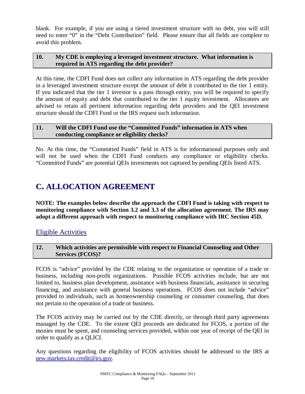blank. For example, if you are using a tiered investment structure with no debt, you will still need to enter "0" in the "Debt Contribution" field. Please ensure that all fields are complete to avoid this problem.

#### **10. My CDE is employing a leveraged investment structure. What information is required in ATS regarding the debt provider?**

At this time, the CDFI Fund does not collect any information in ATS regarding the debt provider in a leveraged investment structure except the amount of debt it contributed to the tier 1 entity. If you indicated that the tier 1 investor is a pass through entity, you will be required to specify the amount of equity and debt that contributed to the tier 1 equity investment. Allocatees are advised to retain all pertinent information regarding debt providers and the QEI investment structure should the CDFI Fund or the IRS request such information.

#### **11. Will the CDFI Fund use the "Committed Funds" information in ATS when conducting compliance or eligibility checks?**

No. At this time, the "Committed Funds" field in ATS is for informational purposes only and will not be used when the CDFI Fund conducts any compliance or eligibility checks. "Committed Funds" are potential QEIs investments not captured by pending QEIs listed ATS.

## **C. ALLOCATION AGREEMENT**

**NOTE: The examples below describe the approach the CDFI Fund is taking with respect to monitoring compliance with Section 3.2 and 3.3 of the allocation agreement. The IRS may adopt a different approach with respect to monitoring compliance with IRC Section 45D.** 

### Eligible Activities

#### **12. Which activities are permissible with respect to Financial Counseling and Other Services (FCOS)?**

FCOS is "advice" provided by the CDE relating to the organization or operation of a trade or business, including non-profit organizations. Possible FCOS activities include, but are not limited to, business plan development, assistance with business financials, assistance in securing financing, and assistance with general business operations. FCOS does not include "advice" provided to individuals, such as homeownership counseling or consumer counseling, that does not pertain to the operation of a trade or business.

The FCOS activity may be carried out by the CDE directly, or through third party agreements managed by the CDE. To the extent QEI proceeds are dedicated for FCOS, a portion of the monies must be spent, and counseling services provided, within one year of receipt of the QEI in order to qualify as a QLICI.

Any questions regarding the eligibility of FCOS activities should be addressed to the IRS at [new.markets.tax.credit@irs.gov.](mailto:new.markets.tax.credit@irs.gov)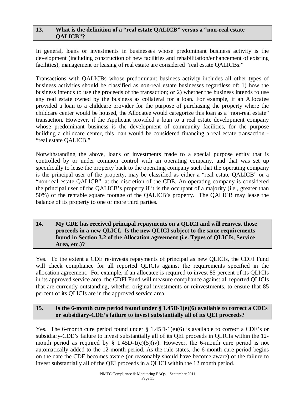#### **13. What is the definition of a "real estate QALICB" versus a "non-real estate QALICB"?**

In general, loans or investments in businesses whose predominant business activity is the development (including construction of new facilities and rehabilitation/enhancement of existing facilities), management or leasing of real estate are considered "real estate QALICBs."

Transactions with QALICBs whose predominant business activity includes all other types of business activities should be classified as non-real estate businesses regardless of: 1) how the business intends to use the proceeds of the transaction; or 2) whether the business intends to use any real estate owned by the business as collateral for a loan. For example, if an Allocatee provided a loan to a childcare provider for the purpose of purchasing the property where the childcare center would be housed, the Allocatee would categorize this loan as a "non-real estate" transaction. However, if the Applicant provided a loan to a real estate development company whose predominant business is the development of community facilities, for the purpose building a childcare center, this loan would be considered financing a real estate transaction - "real estate QALICB."

Notwithstanding the above, loans or investments made to a special purpose entity that is controlled by or under common control with an operating company, and that was set up specifically to lease the property back to the operating company such that the operating company is the principal user of the property, may be classified as either a "real estate QALICB" or a "non-real estate QALICB", at the discretion of the CDE. An operating company is considered the principal user of the QALICB's property if it is the occupant of a majority (i.e., greater than 50%) of the rentable square footage of the QALICB's property. The QALICB may lease the balance of its property to one or more third parties.

#### **14. My CDE has received principal repayments on a QLICI and will reinvest those proceeds in a new QLICI. Is the new QLICI subject to the same requirements found in Section 3.2 of the Allocation agreement (i.e. Types of QLICIs, Service Area, etc.)?**

Yes. To the extent a CDE re-invests repayments of principal as new QLICIs, the CDFI Fund will check compliance for all reported QLICIs against the requirements specified in the allocation agreement. For example, if an allocatee is required to invest 85 percent of its QLICIs in its approved service area, the CDFI Fund will measure compliance against all reported QLICIs that are currently outstanding, whether original investments or reinvestments, to ensure that 85 percent of its QLICIs are in the approved service area.

#### **15. Is the 6-month cure period found under § 1.45D-1(e)(6) available to correct a CDEs or subsidiary-CDE's failure to invest substantially all of its QEI proceeds?**

Yes. The 6-month cure period found under  $\S 1.45D-1(e)(6)$  is available to correct a CDE's or subsidiary-CDE's failure to invest substantially all of its QEI proceeds in QLICIs within the 12 month period as required by  $\S$  1.45D-1(c)(5)(iv). However, the 6-month cure period is not automatically added to the 12-month period. As the rule states, the 6-month cure period begins on the date the CDE becomes aware (or reasonably should have become aware) of the failure to invest substantially all of the QEI proceeds in a QLICI within the 12 month period.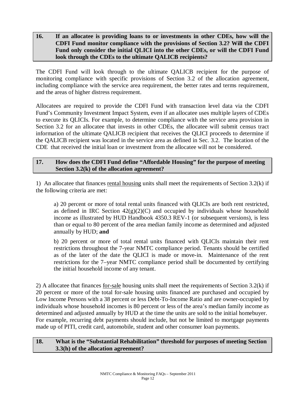#### **16. If an allocatee is providing loans to or investments in other CDEs, how will the CDFI Fund monitor compliance with the provisions of Section 3.2? Will the CDFI Fund only consider the initial QLICI into the other CDEs, or will the CDFI Fund look through the CDEs to the ultimate QALICB recipients?**

The CDFI Fund will look through to the ultimate QALICB recipient for the purpose of monitoring compliance with specific provisions of Section 3.2 of the allocation agreement, including compliance with the service area requirement, the better rates and terms requirement, and the areas of higher distress requirement.

Allocatees are required to provide the CDFI Fund with transaction level data via the CDFI Fund's Community Investment Impact System, even if an allocatee uses multiple layers of CDEs to execute its QLICIs. For example, to determine compliance with the service area provision in Section 3.2 for an allocatee that invests in other CDEs, the allocatee will submit census tract information of the ultimate QALICB recipient that receives the QLICI proceeds to determine if the QALICB recipient was located in the service area as defined in Sec. 3.2. The location of the CDE that received the initial loan or investment from the allocatee will not be considered.

#### **17. How does the CDFI Fund define "Affordable Housing" for the purpose of meeting Section 3.2(k) of the allocation agreement?**

1) An allocatee that finances rental housing units shall meet the requirements of Section 3.2(k) if the following criteria are met:

a) 20 percent or more of total rental units financed with QLICIs are both rent restricted, as defined in IRC Section  $42(g)(2)(C)$  and occupied by individuals whose household income as illustrated by HUD Handbook 4350.3 REV-1 (or subsequent versions), is less than or equal to 80 percent of the area median family income as determined and adjusted annually by HUD; **and**

b) 20 percent or more of total rental units financed with QLICIs maintain their rent restrictions throughout the 7-year NMTC compliance period. Tenants should be certified as of the later of the date the QLICI is made or move-in. Maintenance of the rent restrictions for the 7–year NMTC compliance period shall be documented by certifying the initial household income of any tenant.

2) A allocatee that finances for-sale housing units shall meet the requirements of Section 3.2(k) if 20 percent or more of the total for-sale housing units financed are purchased and occupied by Low Income Persons with a 38 percent or less Debt-To-Income Ratio and are owner-occupied by individuals whose household incomes is 80 percent or less of the area's median family income as determined and adjusted annually by HUD at the time the units are sold to the initial homebuyer. For example, recurring debt payments should include, but not be limited to mortgage payments made up of PITI, credit card, automobile, student and other consumer loan payments.

#### **18. What is the "Substantial Rehabilitation" threshold for purposes of meeting Section 3.3(h) of the allocation agreement?**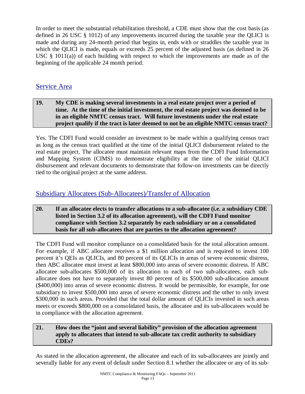In order to meet the substantial rehabilitation threshold, a CDE must show that the cost basis (as defined in 26 USC § 1012) of any improvements incurred during the taxable year the QLICI is made and during any 24-month period that begins in, ends with or straddles the taxable year in which the QLICI is made, equals or exceeds 25 percent of the adjusted basis (as defined in 26 USC § 1011(a)) of each building with respect to which the improvements are made as of the beginning of the applicable 24 month period.

### Service Area

#### **19. My CDE is making several investments in a real estate project over a period of time. At the time of the initial investment, the real estate project was deemed to be in an eligible NMTC census tract. Will future investments under the real estate project qualify if the tract is later deemed to not be an eligible NMTC census tract?**

Yes. The CDFI Fund would consider an investment to be made within a qualifying census tract as long as the census tract qualified at the time of the initial QLICI disbursement related to the real estate project. The allocatee must maintain relevant maps from the CDFI Fund Information and Mapping System (CIMS) to demonstrate eligibility at the time of the initial QLICI disbursement and relevant documents to demonstrate that follow-on investments can be directly tied to the original project at the same address.

### Subsidiary Allocatees (Sub-Allocatees)/Transfer of Allocation

#### **20. If an allocatee elects to transfer allocations to a sub-allocatee (i.e. a subsidiary CDE listed in Section 3.2 of its allocation agreement), will the CDFI Fund monitor compliance with Section 3.2 separately by each subsidiary or on a consolidated basis for all sub-allocatees that are parties to the allocation agreement?**

The CDFI Fund will monitor compliance on a consolidated basis for the total allocation amount. For example, if ABC allocatee receives a \$1 million allocation and is required to invest 100 percent it's QEIs as QLICIs, and 80 percent of its QLICIs in areas of severe economic distress, then ABC allocatee must invest at least \$800,000 into areas of severe economic distress. If ABC allocatee sub-allocates \$500,000 of its allocation to each of two sub-allocatees, each suballocatee does not have to separately invest 80 percent of its \$500,000 sub-allocation amount (\$400,000) into areas of severe economic distress. It would be permissible, for example, for one subsidiary to invest \$500,000 into areas of severe economic distress and the other to only invest \$300,000 in such areas. Provided that the total dollar amount of OLICIs invested in such areas meets or exceeds \$800,000 on a consolidated basis, the allocatee and its sub-allocatees would be in compliance with the allocation agreement.

#### **21. How does the "joint and several liability" provision of the allocation agreement apply to allocatees that intend to sub-allocate tax credit authority to subsidiary CDEs?**

As stated in the allocation agreement, the allocatee and each of its sub-allocatees are jointly and severally liable for any event of default under Section 8.1 whether the allocatee or any of its sub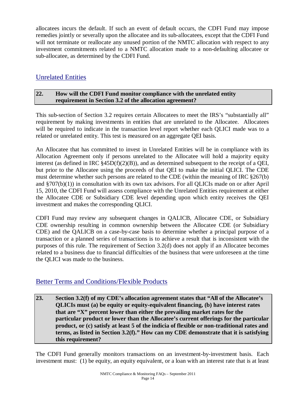allocatees incurs the default. If such an event of default occurs, the CDFI Fund may impose remedies jointly or severally upon the allocatee and its sub-allocatees, except that the CDFI Fund will not terminate or reallocate any unused portion of the NMTC allocation with respect to any investment commitments related to a NMTC allocation made to a non-defaulting allocatee or sub-allocatee, as determined by the CDFI Fund.

### Unrelated Entities

#### **22. How will the CDFI Fund monitor compliance with the unrelated entity requirement in Section 3.2 of the allocation agreement?**

This sub-section of Section 3.2 requires certain Allocatees to meet the IRS's "substantially all" requirement by making investments in entities that are unrelated to the Allocatee. Allocatees will be required to indicate in the transaction level report whether each QLICI made was to a related or unrelated entity. This test is measured on an aggregate QEI basis.

An Allocatee that has committed to invest in Unrelated Entities will be in compliance with its Allocation Agreement only if persons unrelated to the Allocatee will hold a majority equity interest (as defined in IRC  $\S 45D(f)(2)(B)$ ), and as determined subsequent to the receipt of a QEI, but prior to the Allocatee using the proceeds of that QEI to make the initial QLICI. The CDE must determine whether such persons are related to the CDE (within the meaning of IRC §267(b) and §707(b)(1)) in consultation with its own tax advisors. For all QLICIs made on or after April 15, 2010, the CDFI Fund will assess compliance with the Unrelated Entities requirement at either the Allocatee CDE or Subsidiary CDE level depending upon which entity receives the QEI investment and makes the corresponding QLICI.

CDFI Fund may review any subsequent changes in QALICB, Allocatee CDE, or Subsidiary CDE ownership resulting in common ownership between the Allocatee CDE (or Subsidiary CDE) and the QALICB on a case-by-case basis to determine whether a principal purpose of a transaction or a planned series of transactions is to achieve a result that is inconsistent with the purposes of this rule. The requirement of Section 3.2(d) does not apply if an Allocatee becomes related to a business due to financial difficulties of the business that were unforeseen at the time the QLICI was made to the business.

### Better Terms and Conditions/Flexible Products

**23. Section 3.2(f) of my CDE's allocation agreement states that "All of the Allocatee's QLICIs must (a) be equity or equity-equivalent financing, (b) have interest rates that are "X" percent lower than either the prevailing market rates for the particular product or lower than the Allocatee's current offerings for the particular product, or (c) satisfy at least 5 of the indicia of flexible or non-traditional rates and terms, as listed in Section 3.2(f)." How can my CDE demonstrate that it is satisfying this requirement?** 

The CDFI Fund generally monitors transactions on an investment-by-investment basis. Each investment must: (1) be equity, an equity equivalent, or a loan with an interest rate that is at least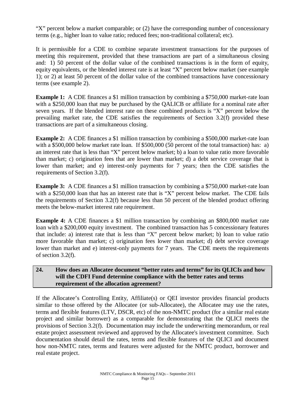"X" percent below a market comparable; or (2) have the corresponding number of concessionary terms (e.g., higher loan to value ratio; reduced fees; non-traditional collateral; etc).

It is permissible for a CDE to combine separate investment transactions for the purposes of meeting this requirement, provided that these transactions are part of a simultaneous closing and: 1) 50 percent of the dollar value of the combined transactions is in the form of equity, equity equivalents, or the blended interest rate is at least "X" percent below market (see example 1); or 2) at least 50 percent of the dollar value of the combined transactions have concessionary terms (see example 2).

**Example 1:** A CDE finances a \$1 million transaction by combining a \$750,000 market-rate loan with a \$250,000 loan that may be purchased by the QALICB or affiliate for a nominal rate after seven years. If the blended interest rate on these combined products is "X" percent below the prevailing market rate, the CDE satisfies the requirements of Section 3.2(f) provided these transactions are part of a simultaneous closing.

**Example 2:** A CDE finances a \$1 million transaction by combining a \$500,000 market-rate loan with a \$500,000 below market rate loan. If \$500,000 (50 percent of the total transaction) has: a) an interest rate that is less than "X" percent below market; b) a loan to value ratio more favorable than market; c) origination fees that are lower than market; d) a debt service coverage that is lower than market; and e) interest-only payments for 7 years; then the CDE satisfies the requirements of Section 3.2(f).

**Example 3:** A CDE finances a \$1 million transaction by combining a \$750,000 market-rate loan with a \$250,000 loan that has an interest rate that is "X" percent below market. The CDE fails the requirements of Section 3.2(f) because less than 50 percent of the blended product offering meets the below-market interest rate requirement.

**Example 4:** A CDE finances a \$1 million transaction by combining an \$800,000 market rate loan with a \$200,000 equity investment. The combined transaction has 5 concessionary features that include: a) interest rate that is less than "X" percent below market; b) loan to value ratio more favorable than market; c) origination fees lower than market; d) debt service coverage lower than market and e) interest-only payments for 7 years. The CDE meets the requirements of section 3.2(f).

#### **24. How does an Allocatee document "better rates and terms" for its QLICIs and how will the CDFI Fund determine compliance with the better rates and terms requirement of the allocation agreement?**

If the Allocatee's Controlling Entity, Affiliate(s) or QEI investor provides financial products similar to those offered by the Allocatee (or sub-Allocatee), the Allocatee may use the rates, terms and flexible features (LTV, DSCR, etc) of the non-NMTC product (for a similar real estate project and similar borrower) as a comparable for demonstrating that the QLICI meets the provisions of Section 3.2(f). Documentation may include the underwriting memorandum, or real estate project assessment reviewed and approved by the Allocatee's investment committee. Such documentation should detail the rates, terms and flexible features of the QLICI and document how non-NMTC rates, terms and features were adjusted for the NMTC product, borrower and real estate project.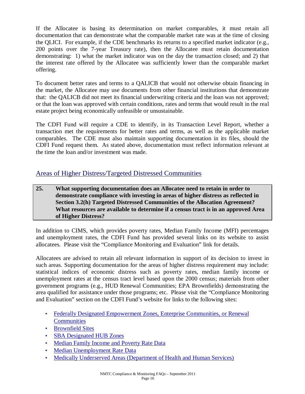If the Allocatee is basing its determination on market comparables, it must retain all documentation that can demonstrate what the comparable market rate was at the time of closing the QLICI. For example, if the CDE benchmarks its returns to a specified market indicator (e.g., 200 points over the 7-year Treasury rate), then the Allocatee must retain documentation demonstrating: 1) what the market indicator was on the day the transaction closed; and 2) that the interest rate offered by the Allocatee was sufficiently lower than the comparable market offering.

To document better rates and terms to a QALICB that would not otherwise obtain financing in the market, the Allocatee may use documents from other financial institutions that demonstrate that: the QALICB did not meet its financial underwriting criteria and the loan was not approved; or that the loan was approved with certain conditions, rates and terms that would result in the real estate project being economically unfeasible or unsustainable.

The CDFI Fund will require a CDE to identify, in its Transaction Level Report, whether a transaction met the requirements for better rates and terms, as well as the applicable market comparables. The CDE must also maintain supporting documentation in its files, should the CDFI Fund request them. As stated above, documentation must reflect information relevant at the time the loan and/or investment was made.

### Areas of Higher Distress/Targeted Distressed Communities

**25. What supporting documentation does an Allocatee need to retain in order to demonstrate compliance with investing in areas of higher distress as reflected in Section 3.2(h) Targeted Distressed Communities of the Allocation Agreement? What resources are available to determine if a census tract is in an approved Area of Higher Distress?** 

In addition to CIMS, which provides poverty rates, Median Family Income (MFI) percentages and unemployment rates, the CDFI Fund has provided several links on its website to assist allocatees. Please visit the "Compliance Monitoring and Evaluation" link for details.

Allocatees are advised to retain all relevant information in support of its decision to invest in such areas. Supporting documentation for the areas of higher distress requirement may include: statistical indices of economic distress such as poverty rates, median family income or unemployment rates at the census tract level based upon the 2000 census; materials from other government programs (e.g., HUD Renewal Communities; EPA Brownfields) demonstrating the area qualified for assistance under those programs; etc. Please visit the "Compliance Monitoring and Evaluation" section on the CDFI Fund's website for links to the following sites:

- Federally Designated Empowerment Zones, Enterprise Communities, or Renewal **Communities**
- Brownfield Sites
- SBA Designated HUB Zones
- Median Family Income and Poverty Rate Data
- Median Unemployment Rate Data
- Medically Underserved Areas (Department of Health and Human Services)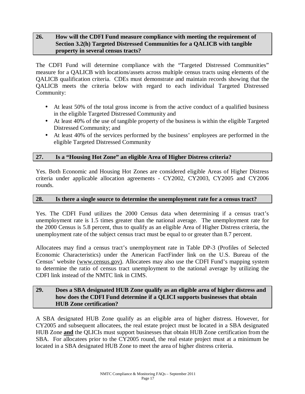#### **26. How will the CDFI Fund measure compliance with meeting the requirement of Section 3.2(h) Targeted Distressed Communities for a QALICB with tangible property in several census tracts?**

The CDFI Fund will determine compliance with the "Targeted Distressed Communities" measure for a QALICB with locations/assets across multiple census tracts using elements of the QALICB qualification criteria. CDEs must demonstrate and maintain records showing that the QALICB meets the criteria below with regard to each individual Targeted Distressed Community:

- At least 50% of the total gross income is from the active conduct of a qualified business in the eligible Targeted Distressed Community and
- At least 40% of the use of tangible property of the business is within the eligible Targeted Distressed Community; and
- At least 40% of the services performed by the business' employees are performed in the eligible Targeted Distressed Community

#### **27. Is a "Housing Hot Zone" an eligible Area of Higher Distress criteria?**

Yes. Both Economic and Housing Hot Zones are considered eligible Areas of Higher Distress criteria under applicable allocation agreements - CY2002, CY2003, CY2005 and CY2006 rounds.

#### **28. Is there a single source to determine the unemployment rate for a census tract?**

Yes. The CDFI Fund utilizes the 2000 Census data when determining if a census tract's unemployment rate is 1.5 times greater than the national average. The unemployment rate for the 2000 Census is 5.8 percent, thus to qualify as an eligible Area of Higher Distress criteria, the unemployment rate of the subject census tract must be equal to or greater than 8.7 percent.

Allocatees may find a census tract's unemployment rate in Table DP-3 (Profiles of Selected Economic Characteristics) under the American FactFinder link on the U.S. Bureau of the Census' website ([www.census.gov\)](http://www.census.gov)). Allocatees may also use the CDFI Fund's mapping system to determine the ratio of census tract unemployment to the national average by utilizing the CDFI link instead of the NMTC link in CIMS.

#### **29. Does a SBA designated HUB Zone qualify as an eligible area of higher distress and how does the CDFI Fund determine if a QLICI supports businesses that obtain HUB Zone certification?**

A SBA designated HUB Zone qualify as an eligible area of higher distress. However, for CY2005 and subsequent allocatees, the real estate project must be located in a SBA designated HUB Zone **and** the QLICIs must support businesses that obtain HUB Zone certification from the SBA. For allocatees prior to the CY2005 round, the real estate project must at a minimum be located in a SBA designated HUB Zone to meet the area of higher distress criteria.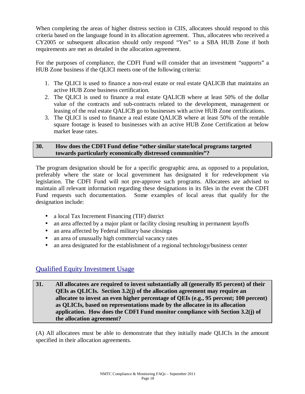When completing the areas of higher distress section in CIIS, allocatees should respond to this criteria based on the language found in its allocation agreement. Thus, allocatees who received a CY2005 or subsequent allocation should only respond "Yes" to a SBA HUB Zone if both requirements are met as detailed in the allocation agreement.

For the purposes of compliance, the CDFI Fund will consider that an investment "supports" a HUB Zone business if the QLICI meets one of the following criteria:

- 1. The QLICI is used to finance a non-real estate or real estate QALICB that maintains an active HUB Zone business certification.
- 2. The QLICI is used to finance a real estate QALICB where at least 50% of the dollar value of the contracts and sub-contracts related to the development, management or leasing of the real estate QALICB go to businesses with active HUB Zone certifications.
- 3. The QLICI is used to finance a real estate QALICB where at least 50% of the rentable square footage is leased to businesses with an active HUB Zone Certification at below market lease rates.

#### **30. How does the CDFI Fund define "other similar state/local programs targeted towards particularly economically distressed communities"?**

The program designation should be for a specific geographic area, as opposed to a population, preferably where the state or local government has designated it for redevelopment via legislation. The CDFI Fund will not pre-approve such programs. Allocatees are advised to maintain all relevant information regarding these designations in its files in the event the CDFI Fund requests such documentation. Some examples of local areas that qualify for the designation include:

- a local Tax Increment Financing (TIF) district
- an area affected by a major plant or facility closing resulting in permanent layoffs
- an area affected by Federal military base closings
- an area of unusually high commercial vacancy rates
- an area designated for the establishment of a regional technology/business center

### Qualified Equity Investment Usage

**31. All allocatees are required to invest substantially all (generally 85 percent) of their QEIs as QLICIs. Section 3.2(j) of the allocation agreement may require an allocatee to invest an even higher percentage of QEIs (e.g., 95 percent; 100 percent) as QLICIs, based on representations made by the allocatee in its allocation application. How does the CDFI Fund monitor compliance with Section 3.2(j) of the allocation agreement?** 

(A) All allocatees must be able to demonstrate that they initially made QLICIs in the amount specified in their allocation agreements.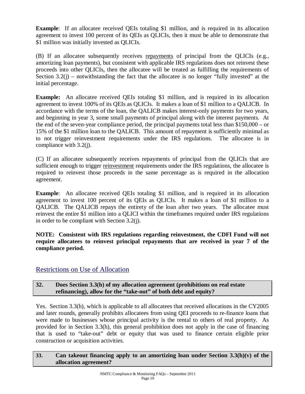**Example:** If an allocatee received OEIs totaling \$1 million, and is required in its allocation agreement to invest 100 percent of its QEIs as QLICIs, then it must be able to demonstrate that \$1 million was initially invested as QLICIs.

(B) If an allocatee subsequently receives repayments of principal from the QLICIs (e.g., amortizing loan payments), but consistent with applicable IRS regulations does not reinvest these proceeds into other QLICIs, then the allocatee will be treated as fulfilling the requirements of Section  $3.2(i)$  – notwithstanding the fact that the allocatee is no longer "fully invested" at the initial percentage.

**Example:** An allocatee received QEIs totaling \$1 million, and is required in its allocation agreement to invest 100% of its QEIs as QLICIs. It makes a loan of \$1 million to a QALICB. In accordance with the terms of the loan, the QALICB makes interest-only payments for two years, and beginning in year 3, some small payments of principal along with the interest payments. At the end of the seven-year compliance period, the principal payments total less than \$150,000 – or 15% of the \$1 million loan to the QALICB. This amount of repayment is sufficiently minimal as to not trigger reinvestment requirements under the IRS regulations. The allocatee is in compliance with 3.2(j).

(C) If an allocatee subsequently receives repayments of principal from the QLICIs that are sufficient enough to trigger reinvestment requirements under the IRS regulations, the allocatee is required to reinvest those proceeds in the same percentage as is required in the allocation agreement.

**Example:** An allocatee received QEIs totaling \$1 million, and is required in its allocation agreement to invest 100 percent of its QEIs as QLICIs. It makes a loan of \$1 million to a QALICB. The QALICB repays the entirety of the loan after two years. The allocatee must reinvest the entire \$1 million into a QLICI within the timeframes required under IRS regulations in order to be compliant with Section 3.2(j).

**NOTE: Consistent with IRS regulations regarding reinvestment, the CDFI Fund will not require allocatees to reinvest principal repayments that are received in year 7 of the compliance period.** 

### Restrictions on Use of Allocation

#### **32. Does Section 3.3(h) of my allocation agreement (prohibitions on real estate refinancing), allow for the "take-out" of both debt and equity?**

Yes. Section 3.3(h), which is applicable to all allocatees that received allocations in the CY2005 and later rounds, generally prohibits allocatees from using QEI proceeds to re-finance loans that were made to businesses whose principal activity is the rental to others of real property. As provided for in Section 3.3(h), this general prohibition does not apply in the case of financing that is used to "take-out" debt or equity that was used to finance certain eligible prior construction or acquisition activities.

#### **33. Can takeout financing apply to an amortizing loan under Section 3.3(h)(v) of the allocation agreement?**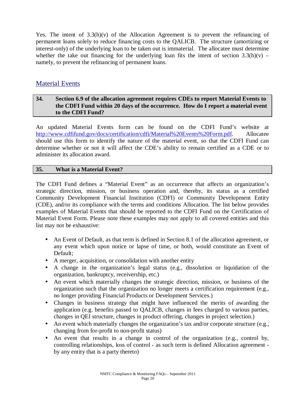Yes. The intent of  $3.3(h)(v)$  of the Allocation Agreement is to prevent the refinancing of permanent loans solely to reduce financing costs to the QALICB. The structure (amortizing or interest-only) of the underlying loan to be taken out is immaterial. The allocatee must determine whether the take out financing for the underlying loan fits the intent of section  $3.3(h)(v)$  – namely, to prevent the refinancing of permanent loans.

### Material Events

#### **34. Section 6.9 of the allocation agreement requires CDEs to report Material Events to the CDFI Fund within 20 days of the occurrence. How do I report a material event to the CDFI Fund?**

An updated Material Events form can be found on the CDFI Fund's website at <http://www.cdfifund.gov/docs/certification/cdfi/Material%20Events%20Form.pdf>. Allocatee should use this form to identify the nature of the material event, so that the CDFI Fund can determine whether or not it will affect the CDE's ability to remain certified as a CDE or to administer its allocation award.

#### **35. What is a Material Event?**

The CDFI Fund defines a "Material Event" as an occurrence that affects an organization's strategic direction, mission, or business operation and, thereby, its status as a certified Community Development Financial Institution (CDFI) or Community Development Entity (CDE), and/or its compliance with the terms and conditions Allocation. The list below provides examples of Material Events that should be reported to the CDFI Fund on the Certification of Material Event Form. Please note these examples may not apply to all covered entities and this list may not be exhaustive:

- **·** An Event of Default, as that term is defined in Section 8.1 of the allocation agreement, or any event which upon notice or lapse of time, or both, would constitute an Event of Default;
- **·** A merger, acquisition, or consolidation with another entity
- **·** A change in the organization's legal status (e.g., dissolution or liquidation of the organization, bankruptcy, receivership, etc.)
- **·** An event which materially changes the strategic direction, mission, or business of the organization such that the organization no longer meets a certification requirement (e.g., no longer providing Financial Products or Development Services.)
- **·** Changes in business strategy that might have influenced the merits of awarding the application (e.g. benefits passed to QALICB, changes in fees charged to various parties, changes in QEI structure, changes in product offering, changes in project selection.)
- **·** An event which materially changes the organization's tax and/or corporate structure (e.g., changing from for-profit to non-profit status)
- An event that results in a change in control of the organization (e.g., control by, controlling relationships, loss of control - as such term is defined Allocation agreement by any entity that is a party thereto)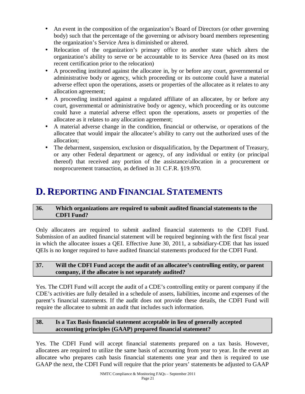- **·** An event in the composition of the organization's Board of Directors (or other governing body) such that the percentage of the governing or advisory board members representing the organization's Service Area is diminished or altered.
- **·** Relocation of the organization's primary office to another state which alters the organization's ability to serve or be accountable to its Service Area (based on its most recent certification prior to the relocation)
- **·** A proceeding instituted against the allocatee in, by or before any court, governmental or administrative body or agency, which proceeding or its outcome could have a material adverse effect upon the operations, assets or properties of the allocatee as it relates to any allocation agreement;
- **·** A proceeding instituted against a regulated affiliate of an allocatee, by or before any court, governmental or administrative body or agency, which proceeding or its outcome could have a material adverse effect upon the operations, assets or properties of the allocatee as it relates to any allocation agreement;
- **·** A material adverse change in the condition, financial or otherwise, or operations of the allocatee that would impair the allocatee's ability to carry out the authorized uses of the allocation;
- **·** The debarment, suspension, exclusion or disqualification, by the Department of Treasury, or any other Federal department or agency, of any individual or entity (or principal thereof) that received any portion of the assistance/allocation in a procurement or nonprocurement transaction, as defined in 31 C.F.R. §19.970.

## **D. REPORTING AND FINANCIAL STATEMENTS**

#### **36. Which organizations are required to submit audited financial statements to the CDFI Fund?**

Only allocatees are required to submit audited financial statements to the CDFI Fund. Submission of an audited financial statement will be required beginning with the first fiscal year in which the allocatee issues a QEI. Effective June 30, 2011, a subsidiary-CDE that has issued QEIs is no longer required to have audited financial statements produced for the CDFI Fund.

#### **37. Will the CDFI Fund accept the audit of an allocatee's controlling entity, or parent company, if the allocatee is not separately audited?**

Yes. The CDFI Fund will accept the audit of a CDE's controlling entity or parent company if the CDE's activities are fully detailed in a schedule of assets, liabilities, income and expenses of the parent's financial statements. If the audit does not provide these details, the CDFI Fund will require the allocatee to submit an audit that includes such information.

#### **38. Is a Tax Basis financial statement acceptable in lieu of generally accepted accounting principles (GAAP) prepared financial statement?**

Yes. The CDFI Fund will accept financial statements prepared on a tax basis. However, allocatees are required to utilize the same basis of accounting from year to year. In the event an allocatee who prepares cash basis financial statements one year and then is required to use GAAP the next, the CDFI Fund will require that the prior years' statements be adjusted to GAAP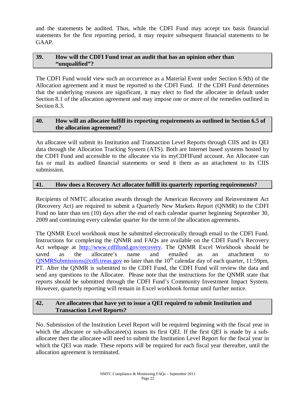and the statements be audited. Thus, while the CDFI Fund may accept tax basis financial statements for the first reporting period, it may require subsequent financial statements to be GAAP.

#### **39. How will the CDFI Fund treat an audit that has an opinion other than "unqualified"?**

The CDFI Fund would view such an occurrence as a Material Event under Section 6.9(b) of the Allocation agreement and it must be reported to the CDFI Fund. If the CDFI Fund determines that the underlying reasons are significant, it may elect to find the allocatee in default under Section 8.1 of the allocation agreement and may impose one or more of the remedies outlined in Section 8.3.

#### **40. How will an allocatee fulfill its reporting requirements as outlined in Section 6.5 of the allocation agreement?**

An allocatee will submit its Institution and Transaction Level Reports through CIIS and its QEI data through the Allocation Tracking System (ATS). Both are Internet based systems hosted by the CDFI Fund and accessible to the allocatee via its myCDFIFund account. An Allocatee can fax or mail its audited financial statements or send it them as an attachment to its CIIS submission.

#### **41. How does a Recovery Act allocatee fulfill its quarterly reporting requirements?**

Recipients of NMTC allocation awards through the American Recovery and Reinvestment Act (Recovery Act) are required to submit a Quarterly New Markets Report (QNMR) to the CDFI Fund no later than ten (10) days after the end of each calendar quarter beginning September 30, 2009 and continuing every calendar quarter for the term of the allocation agreements.

The QNMR Excel workbook must be submitted electronically through email to the CDFI Fund. Instructions for completing the QNMR and FAQs are available on the CDFI Fund's Recovery Act webpage at <http://www.cdfifund.gov/recovery>. The QNMR Excel Workbook should be saved as the allocatee's name and emailed as an attachment to  $QNMRSubmissions@cdfi.treas.gov$  no later than the  $10<sup>th</sup>$  calendar day of each quarter, 11:59pm, PT. After the QNMR is submitted to the CDFI Fund, the CDFI Fund will review the data and send any questions to the Allocatee. Please note that the instructions for the QNMR state that reports should be submitted through the CDFI Fund's Community Investment Impact System. However, quarterly reporting will remain in Excel workbook format until further notice.

#### **42. Are allocatees that have yet to issue a QEI required to submit Institution and Transaction Level Reports?**

No. Submission of the Institution Level Report will be required beginning with the fiscal year in which the allocate or sub-allocatee(s) issues its first QEI. If the first QEI is made by a suballocatee then the allocatee will need to submit the Institution Level Report for the fiscal year in which the QEI was made. These reports will be required for each fiscal year thereafter, until the allocation agreement is terminated.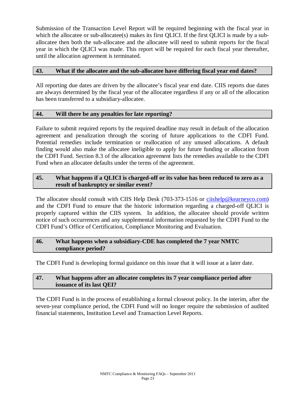Submission of the Transaction Level Report will be required beginning with the fiscal year in which the allocatee or sub-allocatee(s) makes its first QLICI. If the first QLICI is made by a suballocatee then both the sub-allocatee and the allocatee will need to submit reports for the fiscal year in which the QLICI was made. This report will be required for each fiscal year thereafter, until the allocation agreement is terminated.

#### **43. What if the allocatee and the sub-allocatee have differing fiscal year end dates?**

All reporting due dates are driven by the allocatee's fiscal year end date. CIIS reports due dates are always determined by the fiscal year of the allocatee regardless if any or all of the allocation has been transferred to a subsidiary-allocatee.

#### **44. Will there be any penalties for late reporting?**

Failure to submit required reports by the required deadline may result in default of the allocation agreement and penalization through the scoring of future applications to the CDFI Fund. Potential remedies include termination or reallocation of any unused allocations. A default finding would also make the allocatee ineligible to apply for future funding or allocation from the CDFI Fund. Section 8.3 of the allocation agreement lists the remedies available to the CDFI Fund when an allocatee defaults under the terms of the agreement.

#### **45. What happens if a QLICI is charged-off or its value has been reduced to zero as a result of bankruptcy or similar event?**

The allocatee should consult with CIIS Help Desk (703-373-1516 or [ciishelp@kearneyco.com\)](mailto:ciishelp@kearneyco.com) and the CDFI Fund to ensure that the historic information regarding a charged-off QLICI is properly captured within the CIIS system. In addition, the allocatee should provide written notice of such occurrences and any supplemental information requested by the CDFI Fund to the CDFI Fund's Office of Certification, Compliance Monitoring and Evaluation.

#### **46. What happens when a subsidiary-CDE has completed the 7 year NMTC compliance period?**

The CDFI Fund is developing formal guidance on this issue that it will issue at a later date.

#### **47. What happens after an allocatee completes its 7 year compliance period after issuance of its last QEI?**

The CDFI Fund is in the process of establishing a formal closeout policy. In the interim, after the seven-year compliance period, the CDFI Fund will no longer require the submission of audited financial statements, Institution Level and Transaction Level Reports.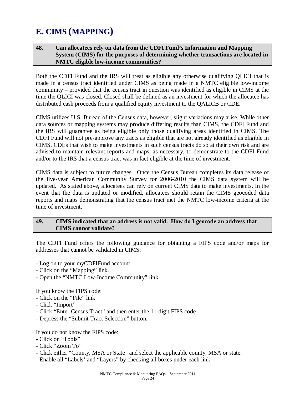## **E. CIMS (MAPPING)**

#### **48. Can allocatees rely on data from the CDFI Fund's Information and Mapping System (CIMS) for the purposes of determining whether transactions are located in NMTC eligible low-income communities?**

Both the CDFI Fund and the IRS will treat as eligible any otherwise qualifying QLICI that is made in a census tract identified under CIMS as being made in a NMTC eligible low-income community – provided that the census tract in question was identified as eligible in CIMS at the time the QLICI was closed. Closed shall be defined as an investment for which the allocatee has distributed cash proceeds from a qualified equity investment to the QALICB or CDE.

CIMS utilizes U.S. Bureau of the Census data, however, slight variations may arise. While other data sources or mapping systems may produce differing results than CIMS, the CDFI Fund and the IRS will guarantee as being eligible only those qualifying areas identified in CIMS. The CDFI Fund will not pre-approve any tracts as eligible that are not already identified as eligible in CIMS. CDEs that wish to make investments in such census tracts do so at their own risk and are advised to maintain relevant reports and maps, as necessary, to demonstrate to the CDFI Fund and/or to the IRS that a census tract was in fact eligible at the time of investment.

CIMS data is subject to future changes. Once the Census Bureau completes its data release of the five-year American Community Survey for 2006-2010 the CIMS data system will be updated. As stated above, allocatees can rely on current CIMS data to make investments. In the event that the data is updated or modified, allocatees should retain the CIMS geocoded data reports and maps demonstrating that the census tract met the NMTC low-income criteria at the time of investment.

#### **49. CIMS indicated that an address is not valid. How do I geocode an address that CIMS cannot validate?**

The CDFI Fund offers the following guidance for obtaining a FIPS code and/or maps for addresses that cannot be validated in CIMS:

- Log on to your myCDFIFund account.
- Click on the "Mapping" link.
- Open the "NMTC Low-Income Community" link.

If you know the FIPS code:

- Click on the "File" link
- Click "Import"
- Click "Enter Census Tract" and then enter the 11-digit FIPS code
- Depress the "Submit Tract Selection" button.

#### If you do not know the FIPS code:

- Click on "Tools"
- Click "Zoom To"
- Click either "County, MSA or State" and select the applicable county, MSA or state.
- Enable all "Labels' and "Layers" by checking all boxes under each link.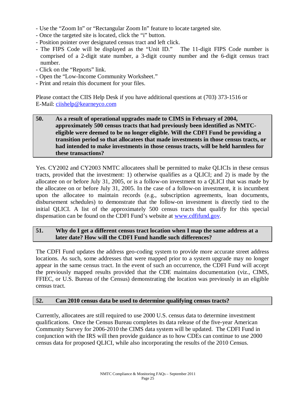- Use the "Zoom In" or "Rectangular Zoom In" feature to locate targeted site.
- Once the targeted site is located, click the "i" button.
- Position pointer over designated census tract and left click.
- The FIPS Code will be displayed as the "Unit ID." The 11-digit FIPS Code number is comprised of a 2-digit state number, a 3-digit county number and the 6-digit census tract number.
- Click on the "Reports" link.
- Open the "Low-Income Community Worksheet."
- Print and retain this document for your files.

Please contact the CIIS Help Desk if you have additional questions at (703) 373-1516 or E-Mail: [ciishelp@kearneyco.com](mailto:ciishelp@kearneyco.com)

#### **50. As a result of operational upgrades made to CIMS in February of 2004, approximately 500 census tracts that had previously been identified as NMTCeligible were deemed to be no longer eligible. Will the CDFI Fund be providing a transition period so that allocatees that made investments in those census tracts, or had intended to make investments in those census tracts, will be held harmless for these transactions?**

Yes. CY2002 and CY2003 NMTC allocatees shall be permitted to make QLICIs in these census tracts, provided that the investment: 1) otherwise qualifies as a QLICI; and 2) is made by the allocatee on or before July 31, 2005, or is a follow-on investment to a QLICI that was made by the allocatee on or before July 31, 2005. In the case of a follow-on investment, it is incumbent upon the allocatee to maintain records (e.g., subscription agreements, loan documents, disbursement schedules) to demonstrate that the follow-on investment is directly tied to the initial QLICI. A list of the approximately 500 census tracts that qualify for this special dispensation can be found on the CDFI Fund's website at **[www.cdfifund.gov](http://www.cdfifund.gov).** 

#### **51. Why do I get a different census tract location when I map the same address at a later date? How will the CDFI Fund handle such differences?**

The CDFI Fund updates the address geo-coding system to provide more accurate street address locations. As such, some addresses that were mapped prior to a system upgrade may no longer appear in the same census tract. In the event of such an occurrence, the CDFI Fund will accept the previously mapped results provided that the CDE maintains documentation (viz., CIMS, FFIEC, or U.S. Bureau of the Census) demonstrating the location was previously in an eligible census tract.

#### **52. Can 2010 census data be used to determine qualifying census tracts?**

Currently, allocatees are still required to use 2000 U.S. census data to determine investment qualifications. Once the Census Bureau completes its data release of the five-year American Community Survey for 2006-2010 the CIMS data system will be updated. The CDFI Fund in conjunction with the IRS will then provide guidance as to how CDEs can continue to use 2000 census data for proposed QLICI, while also incorporating the results of the 2010 Census.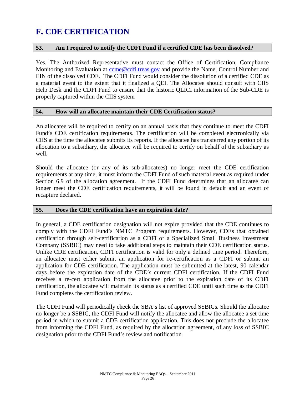## **F. CDE CERTIFICATION**

#### **53. Am I required to notify the CDFI Fund if a certified CDE has been dissolved?**

Yes. The Authorized Representative must contact the Office of Certification, Compliance Monitoring and Evaluation at [ccme@cdfi.treas.gov](mailto:ccme@cdfi.treas.gov) and provide the Name, Control Number and EIN of the dissolved CDE. The CDFI Fund would consider the dissolution of a certified CDE as a material event to the extent that it finalized a QEI. The Allocatee should consult with CIIS Help Desk and the CDFI Fund to ensure that the historic QLICI information of the Sub-CDE is properly captured within the CIIS system

#### **54. How will an allocatee maintain their CDE Certification status?**

An allocatee will be required to certify on an annual basis that they continue to meet the CDFI Fund's CDE certification requirements. The certification will be completed electronically via CIIS at the time the allocatee submits its reports. If the allocatee has transferred any portion of its allocation to a subsidiary, the allocatee will be required to certify on behalf of the subsidiary as well.

Should the allocatee (or any of its sub-allocatees) no longer meet the CDE certification requirements at any time, it must inform the CDFI Fund of such material event as required under Section 6.9 of the allocation agreement. If the CDFI Fund determines that an allocatee can longer meet the CDE certification requirements, it will be found in default and an event of recapture declared.

#### **55. Does the CDE certification have an expiration date?**

In general, a CDE certification designation will not expire provided that the CDE continues to comply with the CDFI Fund's NMTC Program requirements. However, CDEs that obtained certification through self-certification as a CDFI or a Specialized Small Business Investment Company (SSBIC) may need to take additional steps to maintain their CDE certification status. Unlike CDE certification, CDFI certification is valid for only a defined time period. Therefore, an allocatee must either submit an application for re-certification as a CDFI or submit an application for CDE certification. The application must be submitted at the latest, 90 calendar days before the expiration date of the CDE's current CDFI certification. If the CDFI Fund receives a re-cert application from the allocatee prior to the expiration date of its CDFI certification, the allocatee will maintain its status as a certified CDE until such time as the CDFI Fund completes the certification review.

The CDFI Fund will periodically check the SBA's list of approved SSBICs. Should the allocatee no longer be a SSBIC, the CDFI Fund will notify the allocatee and allow the allocatee a set time period in which to submit a CDE certification application. This does not preclude the allocatee from informing the CDFI Fund, as required by the allocation agreement, of any loss of SSBIC designation prior to the CDFI Fund's review and notification.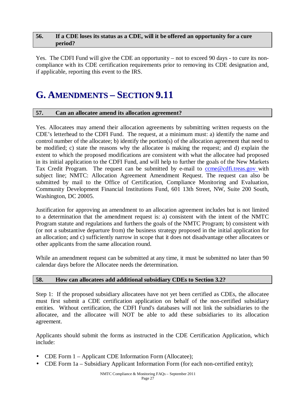#### **56. If a CDE loses its status as a CDE, will it be offered an opportunity for a cure period?**

Yes. The CDFI Fund will give the CDE an opportunity – not to exceed 90 days - to cure its noncompliance with its CDE certification requirements prior to removing its CDE designation and, if applicable, reporting this event to the IRS.

## **G. AMENDMENTS – SECTION 9.11**

#### **57. Can an allocatee amend its allocation agreement?**

Yes. Allocatees may amend their allocation agreements by submitting written requests on the CDE's letterhead to the CDFI Fund. The request, at a minimum must: a) identify the name and control number of the allocatee; b) identify the portion(s) of the allocation agreement that need to be modified; c) state the reasons why the allocatee is making the request; and d) explain the extent to which the proposed modifications are consistent with what the allocatee had proposed in its initial application to the CDFI Fund, and will help to further the goals of the New Markets Tax Credit Program. The request can be submitted by e-mail to come@cdfi.treas.gov with subject line; NMTC: Allocation Agreement Amendment Request. The request can also be submitted by mail to the Office of Certification, Compliance Monitoring and Evaluation, Community Development Financial Institutions Fund, 601 13th Street, NW, Suite 200 South, Washington, DC 20005.

Justification for approving an amendment to an allocation agreement includes but is not limited to a determination that the amendment request is: a) consistent with the intent of the NMTC Program statute and regulations and furthers the goals of the NMTC Program; b) consistent with (or not a substantive departure from) the business strategy proposed in the initial application for an allocation; and c) sufficiently narrow in scope that it does not disadvantage other allocatees or other applicants from the same allocation round.

While an amendment request can be submitted at any time, it must be submitted no later than 90 calendar days before the Allocatee needs the determination.

#### **58. How can allocatees add additional subsidiary CDEs to Section 3.2?**

Step 1: If the proposed subsidiary allocatees have not yet been certified as CDEs, the allocatee must first submit a CDE certification application on behalf of the non-certified subsidiary entities. Without certification, the CDFI Fund's databases will not link the subsidiaries to the allocatee, and the allocatee will NOT be able to add these subsidiaries to its allocation agreement.

Applicants should submit the forms as instructed in the CDE Certification Application, which include:

- CDE Form 1 Applicant CDE Information Form (Allocatee);
- CDE Form 1a Subsidiary Applicant Information Form (for each non-certified entity);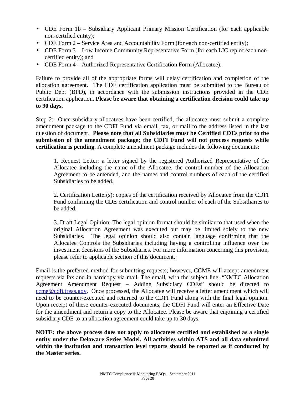- CDE Form 1b Subsidiary Applicant Primary Mission Certification (for each applicable non-certified entity);
- CDE Form 2 Service Area and Accountability Form (for each non-certified entity);
- CDE Form 3 Low Income Community Representative Form (for each LIC rep of each noncertified entity); and
- CDE Form 4 Authorized Representative Certification Form (Allocatee).

Failure to provide all of the appropriate forms will delay certification and completion of the allocation agreement. The CDE certification application must be submitted to the Bureau of Public Debt (BPD), in accordance with the submission instructions provided in the CDE certification application. **Please be aware that obtaining a certification decision could take up to 90 days.** 

Step 2: Once subsidiary allocatees have been certified, the allocatee must submit a complete amendment package to the CDFI Fund via email, fax, or mail to the address listed in the last question of document. **Please note that all Subsidiaries must be Certified CDEs prior to the submission of the amendment package; the CDFI Fund will not process requests while certification is pending.** A complete amendment package includes the following documents:

1. Request Letter: a letter signed by the registered Authorized Representative of the Allocatee including the name of the Allocatee, the control number of the Allocation Agreement to be amended, and the names and control numbers of each of the certified Subsidiaries to be added.

2. Certification Letter(s): copies of the certification received by Allocatee from the CDFI Fund confirming the CDE certification and control number of each of the Subsidiaries to be added.

3. Draft Legal Opinion: The legal opinion format should be similar to that used when the original Allocation Agreement was executed but may be limited solely to the new Subsidiaries. The legal opinion should also contain language confirming that the Allocatee Controls the Subsidiaries including having a controlling influence over the investment decisions of the Subsidiaries. For more information concerning this provision, please refer to applicable section of this document.

Email is the preferred method for submitting requests; however, CCME will accept amendment requests via fax and in hardcopy via mail. The email, with the subject line, "NMTC Allocation Agreement Amendment Request – Adding Subsidiary CDEs" should be directed to [ccme@cdfi.treas.gov.](mailto:ccme@cdfi.treas.gov) Once processed, the Allocatee will receive a letter amendment which will need to be counter-executed and returned to the CDFI Fund along with the final legal opinion. Upon receipt of these counter-executed documents, the CDFI Fund will enter an Effective Date for the amendment and return a copy to the Allocatee. Please be aware that enjoining a certified subsidiary CDE to an allocation agreement could take up to 30 days.

**NOTE: the above process does not apply to allocatees certified and established as a single entity under the Delaware Series Model. All activities within ATS and all data submitted within the institution and transaction level reports should be reported as if conducted by the Master series.**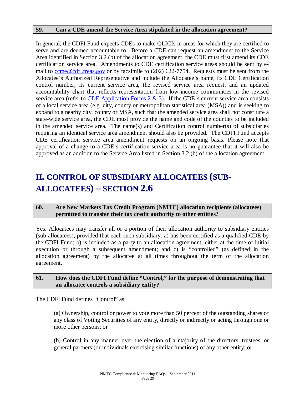#### **59. Can a CDE amend the Service Area stipulated in the allocation agreement?**

In general, the CDFI Fund expects CDEs to make QLICIs in areas for which they are certified to serve and are deemed accountable to. Before a CDE can request an amendment to the Service Area identified in Section 3.2 (b) of the allocation agreement, the CDE must first amend its CDE certification service area. Amendments to CDE certification service areas should be sent by email to come @cdfi.treas.gov or by facsimile to (202) 622-7754. Requests must be sent from the Allocatee's Authorized Representative and include the Allocatee's name, its CDE Certification control number, its current service area, the revised service area request, and an updated accountability chart that reflects representation from low-income communities in the revised service area (refer to CDE Application Forms  $2 \& 3$ ). If the CDE's current service area consists of a local service area (e.g. city, county or metropolitan statistical area (MSA)) and is seeking to expand to a nearby city, county or MSA, such that the amended service area shall not constitute a state-wide service area, the CDE must provide the name and code of the counties to be included in the amended service area. The name(s) and Certification control number(s) of subsidiaries requiring an identical service area amendment should also be provided. The CDFI Fund accepts CDE certification service area amendment requests on an ongoing basis. Please note that approval of a change to a CDE's certification service area is no guarantee that it will also be approved as an addition to the Service Area listed in Section 3.2 (b) of the allocation agreement.

## **H. CONTROL OF SUBSIDIARY ALLOCATEES (SUB-ALLOCATEES) – SECTION 2.6**

#### **60. Are New Markets Tax Credit Program (NMTC) allocation recipients (allocatees) permitted to transfer their tax credit authority to other entities?**

Yes. Allocatees may transfer all or a portion of their allocation authority to subsidiary entities (sub-allocatees), provided that each such subsidiary: a) has been certified as a qualified CDE by the CDFI Fund; b) is included as a party to an allocation agreement, either at the time of initial execution or through a subsequent amendment; and c) is "controlled" (as defined in the allocation agreement) by the allocatee at all times throughout the term of the allocation agreement.

#### **61. How does the CDFI Fund define "Control," for the purpose of demonstrating that an allocatee controls a subsidiary entity?**

The CDFI Fund defines "Control" as:

(a) Ownership, control or power to vote more than 50 percent of the outstanding shares of any class of Voting Securities of any entity, directly or indirectly or acting through one or more other persons; or

(b) Control in any manner over the election of a majority of the directors, trustees, or general partners (or individuals exercising similar functions) of any other entity; or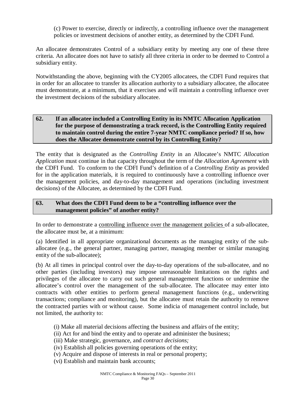(c) Power to exercise, directly or indirectly, a controlling influence over the management policies or investment decisions of another entity, as determined by the CDFI Fund.

An allocatee demonstrates Control of a subsidiary entity by meeting any one of these three criteria. An allocatee does not have to satisfy all three criteria in order to be deemed to Control a subsidiary entity.

Notwithstanding the above, beginning with the CY2005 allocatees, the CDFI Fund requires that in order for an allocatee to transfer its allocation authority to a subsidiary allocatee, the allocatee must demonstrate, at a minimum, that it exercises and will maintain a controlling influence over the investment decisions of the subsidiary allocatee.

#### **62. If an allocatee included a Controlling Entity in its NMTC Allocation Application for the purpose of demonstrating a track record, is the Controlling Entity required to maintain control during the entire 7-year NMTC compliance period? If so, how does the Allocatee demonstrate control by its Controlling Entity?**

The entity that is designated as the *Controlling Entity* in an Allocatee's NMTC *Allocation Application* must continue in that capacity throughout the term of the *Allocation Agreement* with the CDFI Fund. To conform to the CDFI Fund's definition of a *Controlling Entity* as provided for in the application materials*,* it is required to continuously have a controlling influence over the management policies, and day-to-day management and operations (including investment decisions) of the Allocatee, as determined by the CDFI Fund.

#### **63. What does the CDFI Fund deem to be a "controlling influence over the management policies" of another entity?**

In order to demonstrate a controlling influence over the management policies of a sub-allocatee, the allocatee must be, at a minimum:

(a) Identified in all appropriate organizational documents as the managing entity of the suballocatee (e.g., the general partner, managing partner, managing member or similar managing entity of the sub-allocatee);

(b) At all times in principal control over the day-to-day operations of the sub-allocatee, and no other parties (including investors) may impose unreasonable limitations on the rights and privileges of the allocatee to carry out such general management functions or undermine the allocatee's control over the management of the sub-allocatee. The allocatee may enter into contracts with other entities to perform general management functions (e.g., underwriting transactions; compliance and monitoring), but the allocatee must retain the authority to remove the contracted parties with or without cause. Some indicia of management control include, but not limited, the authority to:

- (i) Make all material decisions affecting the business and affairs of the entity;
- (ii) Act for and bind the entity and to operate and administer the business;
- (iii) Make strategic, governance, and *contract decisions;*
- (iv) Establish all policies governing operations of the entity;
- (v) Acquire and dispose of interests in real or personal property;
- (vi) Establish and maintain bank accounts;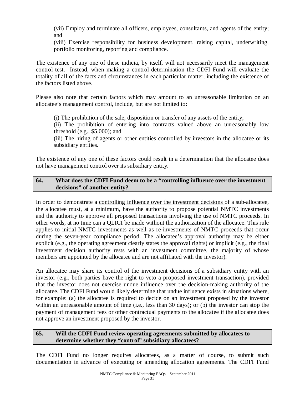(vii) Employ and terminate all officers, employees, consultants, and agents of the entity; and

(viii) Exercise responsibility for business development, raising capital, underwriting, portfolio monitoring, reporting and compliance.

The existence of any one of these indicia, by itself, will not necessarily meet the management control test. Instead, when making a control determination the CDFI Fund will evaluate the totality of all of the facts and circumstances in each particular matter, including the existence of the factors listed above.

Please also note that certain factors which may amount to an unreasonable limitation on an allocatee's management control, include, but are not limited to:

(i) The prohibition of the sale, disposition or transfer of any assets of the entity;

(ii) The prohibition of entering into contracts valued above an unreasonably low threshold (e.g., \$5,000); and

(iii) The hiring of agents or other entities controlled by investors in the allocatee or its subsidiary entities.

The existence of any one of these factors could result in a determination that the allocatee does not have management control over its subsidiary entity.

#### **64. What does the CDFI Fund deem to be a "controlling influence over the investment decisions" of another entity?**

In order to demonstrate a controlling influence over the investment decisions of a sub-allocatee, the allocatee must, at a minimum, have the authority to propose potential NMTC investments and the authority to approve all proposed transactions involving the use of NMTC proceeds. In other words, at no time can a QLICI be made without the authorization of the allocatee. This rule applies to initial NMTC investments as well as re-investments of NMTC proceeds that occur during the seven-year compliance period. The allocatee's approval authority may be either explicit (e.g., the operating agreement clearly states the approval rights) or implicit (e.g., the final investment decision authority rests with an investment committee, the majority of whose members are appointed by the allocatee and are not affiliated with the investor).

An allocatee may share its control of the investment decisions of a subsidiary entity with an investor (e.g., both parties have the right to veto a proposed investment transaction), provided that the investor does not exercise undue influence over the decision-making authority of the allocatee. The CDFI Fund would likely determine that undue influence exists in situations where, for example: (a) the allocatee is required to decide on an investment proposed by the investor within an unreasonable amount of time (i.e., less than 30 days); or (b) the investor can stop the payment of management fees or other contractual payments to the allocatee if the allocatee does not approve an investment proposed by the investor.

#### **65. Will the CDFI Fund review operating agreements submitted by allocatees to determine whether they "control" subsidiary allocatees?**

The CDFI Fund no longer requires allocatees, as a matter of course, to submit such documentation in advance of executing or amending allocation agreements. The CDFI Fund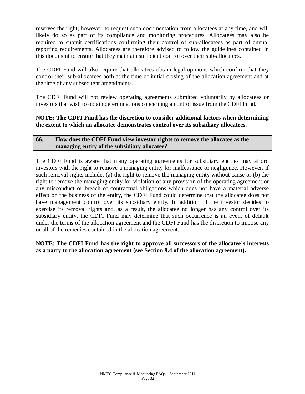reserves the right, however, to request such documentation from allocatees at any time, and will likely do so as part of its compliance and monitoring procedures. Allocatees may also be required to submit certifications confirming their control of sub-allocatees as part of annual reporting requirements. Allocatees are therefore advised to follow the guidelines contained in this document to ensure that they maintain sufficient control over their sub-allocatees.

The CDFI Fund will also require that allocatees obtain legal opinions which confirm that they control their sub-allocatees both at the time of initial closing of the allocation agreement and at the time of any subsequent amendments.

The CDFI Fund will not review operating agreements submitted voluntarily by allocatees or investors that wish to obtain determinations concerning a control issue from the CDFI Fund.

#### **NOTE: The CDFI Fund has the discretion to consider additional factors when determining the extent to which an allocatee demonstrates control over its subsidiary allocatees.**

#### **66. How does the CDFI Fund view investor rights to remove the allocatee as the managing entity of the subsidiary allocatee?**

The CDFI Fund is aware that many operating agreements for subsidiary entities may afford investors with the right to remove a managing entity for malfeasance or negligence. However, if such removal rights include: (a) the right to remove the managing entity without cause or (b) the right to remove the managing entity for violation of any provision of the operating agreement or any misconduct or breach of contractual obligations which does not have a material adverse effect on the business of the entity, the CDFI Fund could determine that the allocatee does not have management control over its subsidiary entity. In addition, if the investor decides to exercise its removal rights and, as a result, the allocatee no longer has any control over its subsidiary entity, the CDFI Fund may determine that such occurrence is an event of default under the terms of the allocation agreement and the CDFI Fund has the discretion to impose any or all of the remedies contained in the allocation agreement*.* 

**NOTE: The CDFI Fund has the right to approve all successors of the allocatee's interests as a party to the allocation agreement (see Section 9.4 of the allocation agreement).**